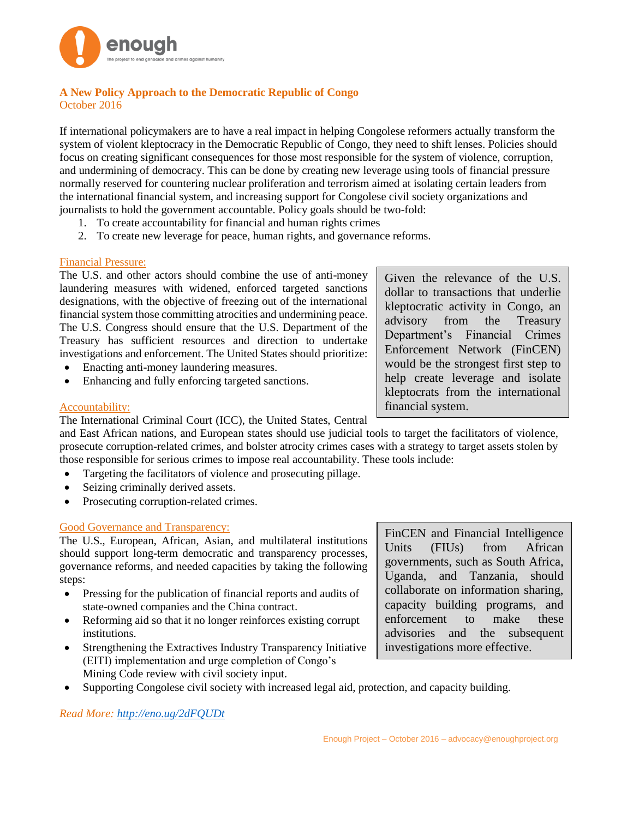

## **A New Policy Approach to the Democratic Republic of Congo** October 2016

If international policymakers are to have a real impact in helping Congolese reformers actually transform the system of violent kleptocracy in the Democratic Republic of Congo, they need to shift lenses. Policies should focus on creating significant consequences for those most responsible for the system of violence, corruption, and undermining of democracy. This can be done by creating new leverage using tools of financial pressure normally reserved for countering nuclear proliferation and terrorism aimed at isolating certain leaders from the international financial system, and increasing support for Congolese civil society organizations and journalists to hold the government accountable. Policy goals should be two-fold:

- 1. To create accountability for financial and human rights crimes
- 2. To create new leverage for peace, human rights, and governance reforms.

#### Financial Pressure:

The U.S. and other actors should combine the use of anti-money laundering measures with widened, enforced targeted sanctions designations, with the objective of freezing out of the international financial system those committing atrocities and undermining peace. The U.S. Congress should ensure that the U.S. Department of the Treasury has sufficient resources and direction to undertake investigations and enforcement. The United States should prioritize:

- Enacting anti-money laundering measures.
- Enhancing and fully enforcing targeted sanctions.

#### Accountability:

The International Criminal Court (ICC), the United States, Central

and East African nations, and European states should use judicial tools to target the facilitators of violence, prosecute corruption-related crimes, and bolster atrocity crimes cases with a strategy to target assets stolen by those responsible for serious crimes to impose real accountability. These tools include:

- Targeting the facilitators of violence and prosecuting pillage.
- Seizing criminally derived assets.
- Prosecuting corruption-related crimes.

### Good Governance and Transparency:

The U.S., European, African, Asian, and multilateral institutions should support long-term democratic and transparency processes, governance reforms, and needed capacities by taking the following steps:

- Pressing for the publication of financial reports and audits of state-owned companies and the China contract.
- Reforming aid so that it no longer reinforces existing corrupt institutions.
- Strengthening the Extractives Industry Transparency Initiative (EITI) implementation and urge completion of Congo's Mining Code review with civil society input.
- Supporting Congolese civil society with increased legal aid, protection, and capacity building.

*Read More: [http://eno.ug/2dFQUDt](http://www.google.com/url?q=http%3A%2F%2Feno.ug%2F2dFQUDt&sa=D&sntz=1&usg=AFQjCNGohXyndUY1FUvEPnYu5Y1MGcfiag)*

Given the relevance of the U.S. dollar to transactions that underlie kleptocratic activity in Congo, an advisory from the Treasury Department's Financial Crimes Enforcement Network (FinCEN) would be the strongest first step to help create leverage and isolate kleptocrats from the international financial system.

FinCEN and Financial Intelligence Units (FIUs) from African governments, such as South Africa, Uganda, and Tanzania, should collaborate on information sharing, capacity building programs, and enforcement to make these advisories and the subsequent investigations more effective.